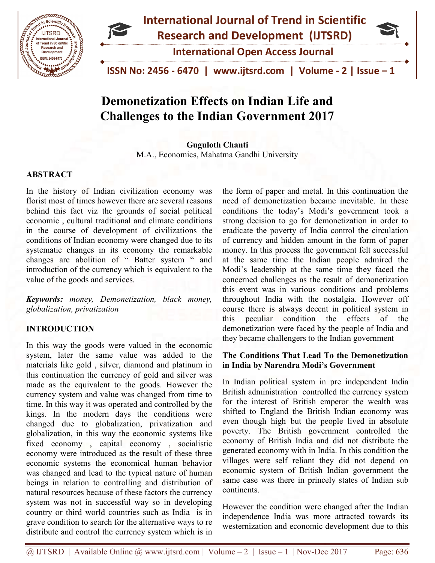

# Demonetization Effects on Indian Life and **Demonetization Effects on Indian Life and<br>Challenges to the Indian Government 2017**

M.A., Economics, Mahatma Gandhi University Guguloth Chanti

## ABSTRACT

In the history of Indian civilization economy was florist most of times however there are several reasons behind this fact viz the grounds of social political economic , cultural traditional and climate conditions in the course of development of civilizati conditions of Indian economy were changed due to its systematic changes in its economy the remarkable changes are abolition of " Batter system " and introduction of the currency which is equivalent to the value of the goods and services. M.A., Economics, Mahatma<br> **ABSTRACT**<br>
In the history of Indian civilization economy was the<br>
florist most of times however there are several reasons need<br>
behind this fact viz the grounds of social political conomic cultur

Keywords: money, Demonetization, black money, globalization, privatization

## INTRODUCTION

In this way the goods were valued in the economic system, later the same value was added to the materials like gold , silver, diamond and platinum in this continuation the currency of gold and silver was made as the equivalent to the goods. However the currency system and value was changed from time to time. In this way it was operated and controlled by the kings. In the modern days the conditions were changed due to globalization, privatization and globalization, in this way the economic systems like fixed economy , capital economy , socialistic economy were introduced as the result of these three economic systems the economical human behavior was changed and lead to the typical nature of human beings in relation to controlling and distribution of natural resources because of these factors the currency system was not in successful way so in developing country or third world countries such as India is in grave condition to search for the alternative ways to re distribute and control the currency system which is in In the history of Indian civilization economy was the form of paper and metal. In this continuation the behind this fact vix the grounds of social political conditions. The fitse reserves the control of the specific condi

need of demonetization became inevitable. In these conditions the today's Modi's government took a strong decision to go for demonetization in order to eradicate the poverty of India control the circulation of currency and hidden amount in the form of paper money. In this process the government felt successful at the same time the Indian people admired the Modi's leadership at the same time they faced the concerned challenges as the result of demonetization this event was in various conditions and problems throughout India with the nostalgia. However off course there is always decent in political system in this peculiar condition the effects of the demonetization were faced by the people of India and they became challengers to the Indian government form of paper and metal. In this continuation the<br>ed of demonetization became inevitable. In these<br>editions the today's Modi's government took a<br>ong decision to go for demonetization in order to<br>dicate the poverty of India

## The Conditions That Lead To the Demonetization in India by Narendra Modi's Government Government

In Indian political system in pre independent India British administration controlled the currency system for the interest of British emperor the wealth was shifted to England the British Indian economy was even though high but the people lived in absolute poverty. The British government controlled the economy of British India and did not distribute the generated economy with in India. In this condition the villages were self reliant they did not depend on economic system of British Indian government the same case was there in princely states of Indian sub continents. dministration controlled the currency system<br>interest of British emperor the wealth was<br>o England the British Indian economy was<br>ough high but the people lived in absolute<br>The British government controlled the the economy with in India. In this condition the were self reliant they did not depend on<br>the system of British Indian government the e was there in princely states of Indian sub

However the condition were changed after the Indian independence India was more attracted towards its independence India was more attracted towards its westernization and economic development due to this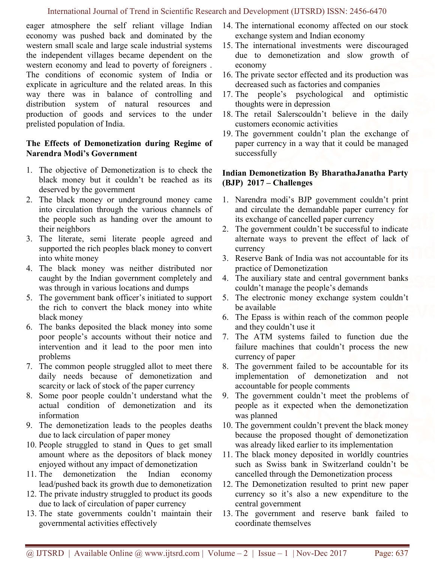#### International Journal of Trend in Scientific Research and Development (IJTSRD) ISSN: 2456-6470

eager atmosphere the self reliant village Indian economy was pushed back and dominated by the western small scale and large scale industrial systems the independent villages became dependent on the western economy and lead to poverty of foreigners . The conditions of economic system of India or explicate in agriculture and the related areas. In this way there was in balance of controlling and distribution system of natural resources and production of goods and services to the under prelisted population of India.

## The Effects of Demonetization during Regime of Narendra Modi's Government

- 1. The objective of Demonetization is to check the black money but it couldn't be reached as its deserved by the government
- 2. The black money or underground money came into circulation through the various channels of the people such as handing over the amount to their neighbors
- 3. The literate, semi literate people agreed and supported the rich peoples black money to convert into white money
- 4. The black money was neither distributed nor caught by the Indian government completely and was through in various locations and dumps
- 5. The government bank officer's initiated to support the rich to convert the black money into white black money
- 6. The banks deposited the black money into some poor people's accounts without their notice and intervention and it lead to the poor men into problems
- 7. The common people struggled allot to meet there daily needs because of demonetization and scarcity or lack of stock of the paper currency
- 8. Some poor people couldn't understand what the actual condition of demonetization and its information
- 9. The demonetization leads to the peoples deaths due to lack circulation of paper money
- 10. People struggled to stand in Ques to get small amount where as the depositors of black money enjoyed without any impact of demonetization
- 11. The demonetization the Indian economy lead/pushed back its growth due to demonetization
- 12. The private industry struggled to product its goods due to lack of circulation of paper currency
- 13. The state governments couldn't maintain their governmental activities effectively
- 14. The international economy affected on our stock exchange system and Indian economy
- 15. The international investments were discouraged due to demonetization and slow growth of economy
- 16. The private sector effected and its production was decreased such as factories and companies
- 17. The people's psychological and optimistic thoughts were in depression
- 18. The retail Salerscouldn't believe in the daily customers economic activities
- 19. The government couldn't plan the exchange of paper currency in a way that it could be managed successfully

## Indian Demonetization By BharathaJanatha Party (BJP) 2017 – Challenges

- 1. Narendra modi's BJP government couldn't print and circulate the demandable paper currency for its exchange of cancelled paper currency
- 2. The government couldn't be successful to indicate alternate ways to prevent the effect of lack of currency
- 3. Reserve Bank of India was not accountable for its practice of Demonetization
- 4. The auxiliary state and central government banks couldn't manage the people's demands
- 5. The electronic money exchange system couldn't be available
- 6. The Epass is within reach of the common people and they couldn't use it
- 7. The ATM systems failed to function due the failure machines that couldn't process the new currency of paper
- 8. The government failed to be accountable for its implementation of demonetization and not accountable for people comments
- 9. The government couldn't meet the problems of people as it expected when the demonetization was planned
- 10. The government couldn't prevent the black money because the proposed thought of demonetization was already liked earlier to its implementation
- 11. The black money deposited in worldly countries such as Swiss bank in Switzerland couldn't be cancelled through the Demonetization process
- 12. The Demonetization resulted to print new paper currency so it's also a new expenditure to the central government
- 13. The government and reserve bank failed to coordinate themselves